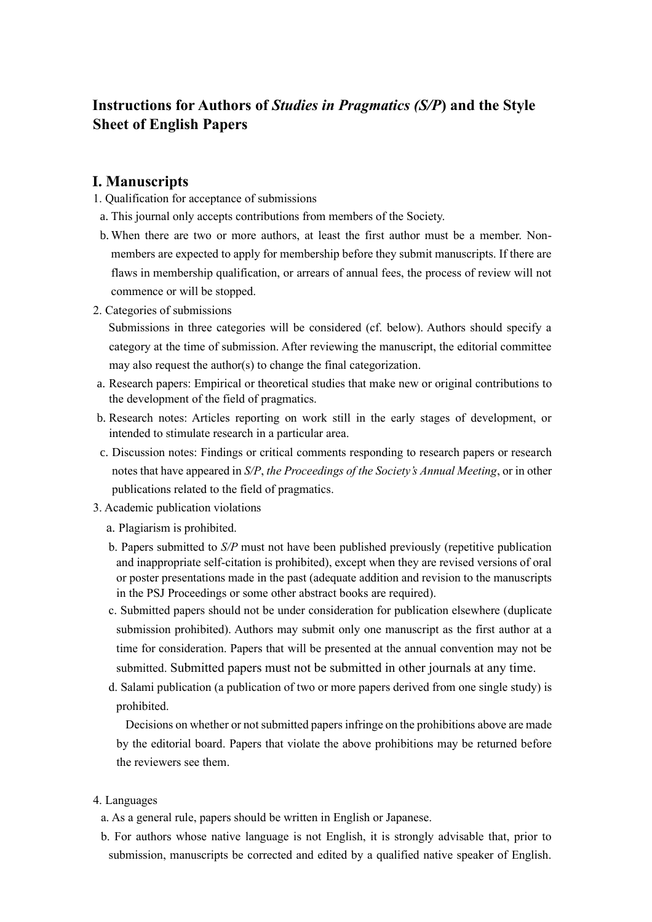# **Instructions for Authors of** *Studies in Pragmatics (S/P***) and the Style Sheet of English Papers**

### **I. Manuscripts**

- 1. Qualification for acceptance of submissions
- a. This journal only accepts contributions from members of the Society.
- b. When there are two or more authors, at least the first author must be a member. Nonmembers are expected to apply for membership before they submit manuscripts. If there are flaws in membership qualification, or arrears of annual fees, the process of review will not commence or will be stopped.
- 2. Categories of submissions

Submissions in three categories will be considered (cf. below). Authors should specify a category at the time of submission. After reviewing the manuscript, the editorial committee may also request the author(s) to change the final categorization.

- a. Research papers: Empirical or theoretical studies that make new or original contributions to the development of the field of pragmatics.
- b. Research notes: Articles reporting on work still in the early stages of development, or intended to stimulate research in a particular area.
- c. Discussion notes: Findings or critical comments responding to research papers or research notes that have appeared in *S/P*, *the Proceedings of the Society's Annual Meeting*, or in other publications related to the field of pragmatics.
- 3. Academic publication violations
	- a. Plagiarism is prohibited.
	- b. Papers submitted to *S/P* must not have been published previously (repetitive publication and inappropriate self-citation is prohibited), except when they are revised versions of oral or poster presentations made in the past (adequate addition and revision to the manuscripts in the PSJ Proceedings or some other abstract books are required).
	- c. Submitted papers should not be under consideration for publication elsewhere (duplicate submission prohibited). Authors may submit only one manuscript as the first author at a time for consideration. Papers that will be presented at the annual convention may not be submitted. Submitted papers must not be submitted in other journals at any time.
	- d. Salami publication (a publication of two or more papers derived from one single study) is prohibited.

 Decisions on whether or not submitted papers infringe on the prohibitions above are made by the editorial board. Papers that violate the above prohibitions may be returned before the reviewers see them.

### 4. Languages

- a. As a general rule, papers should be written in English or Japanese.
- b. For authors whose native language is not English, it is strongly advisable that, prior to submission, manuscripts be corrected and edited by a qualified native speaker of English.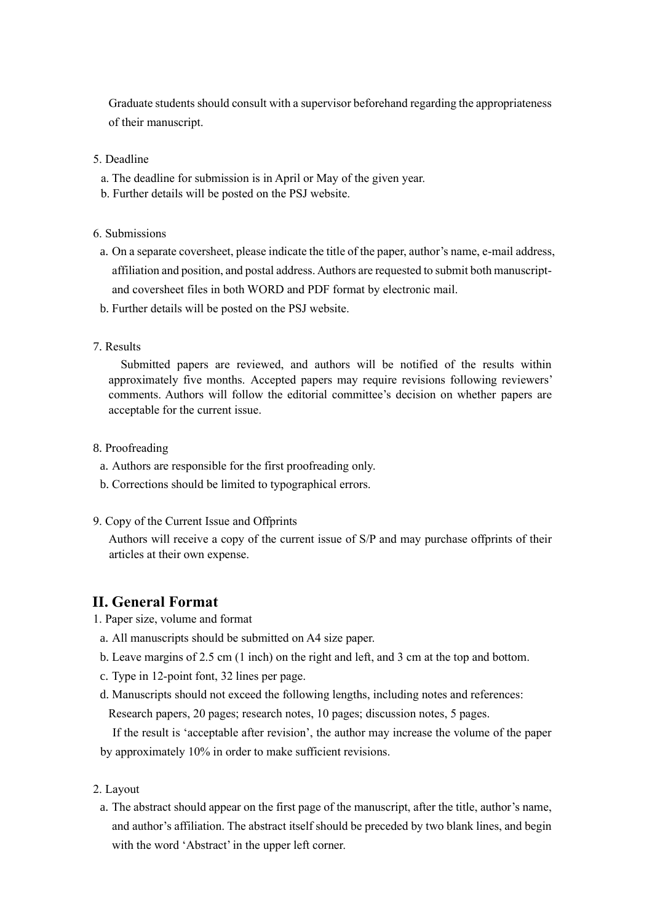Graduate students should consult with a supervisor beforehand regarding the appropriateness of their manuscript.

### 5. Deadline

- a. The deadline for submission is in April or May of the given year.
- b. Further details will be posted on the PSJ website.

6. Submissions

- a. On a separate coversheet, please indicate the title of the paper, author's name, e-mail address, affiliation and position, and postal address. Authors are requested to submit both manuscriptand coversheet files in both WORD and PDF format by electronic mail.
- b. Further details will be posted on the PSJ website.
- 7. Results

Submitted papers are reviewed, and authors will be notified of the results within approximately five months. Accepted papers may require revisions following reviewers' comments. Authors will follow the editorial committee's decision on whether papers are acceptable for the current issue.

### 8. Proofreading

- a. Authors are responsible for the first proofreading only.
- b. Corrections should be limited to typographical errors.
- 9. Copy of the Current Issue and Offprints

Authors will receive a copy of the current issue of S/P and may purchase offprints of their articles at their own expense.

## **II. General Format**

- 1. Paper size, volume and format
- a. All manuscripts should be submitted on A4 size paper.
- b. Leave margins of 2.5 cm (1 inch) on the right and left, and 3 cm at the top and bottom.
- c. Type in 12-point font, 32 lines per page.
- d. Manuscripts should not exceed the following lengths, including notes and references: Research papers, 20 pages; research notes, 10 pages; discussion notes, 5 pages.

If the result is 'acceptable after revision', the author may increase the volume of the paper by approximately 10% in order to make sufficient revisions.

### 2. Layout

a. The abstract should appear on the first page of the manuscript, after the title, author's name, and author's affiliation. The abstract itself should be preceded by two blank lines, and begin with the word 'Abstract' in the upper left corner.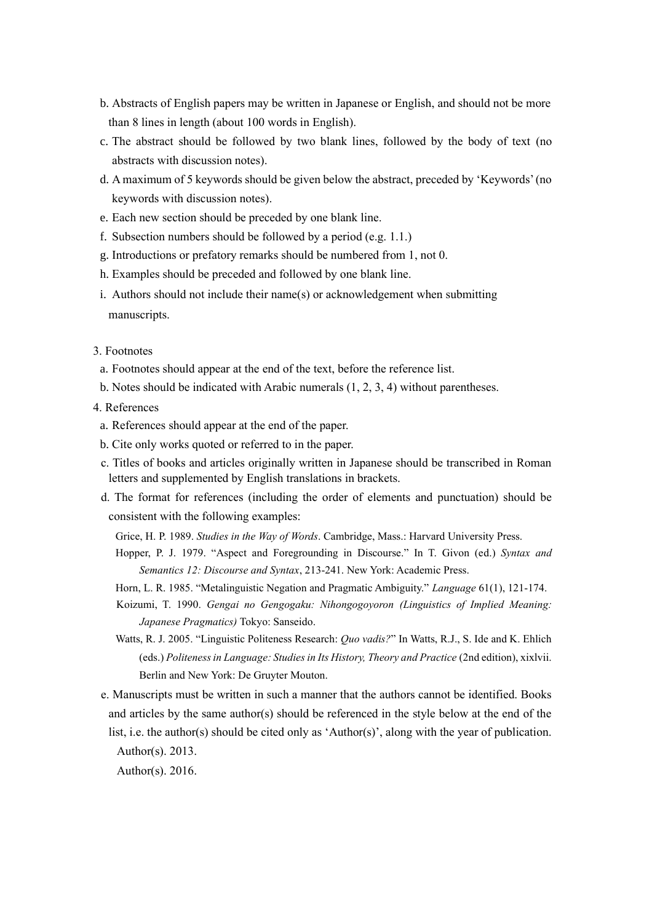- b. Abstracts of English papers may be written in Japanese or English, and should not be more than 8 lines in length (about 100 words in English).
- c. The abstract should be followed by two blank lines, followed by the body of text (no abstracts with discussion notes).
- d. A maximum of 5 keywords should be given below the abstract, preceded by 'Keywords' (no keywords with discussion notes).
- e. Each new section should be preceded by one blank line.
- f. Subsection numbers should be followed by a period (e.g. 1.1.)
- g. Introductions or prefatory remarks should be numbered from 1, not 0.
- h. Examples should be preceded and followed by one blank line.
- i. Authors should not include their name(s) or acknowledgement when submitting manuscripts.

#### 3. Footnotes

- a. Footnotes should appear at the end of the text, before the reference list.
- b. Notes should be indicated with Arabic numerals (1, 2, 3, 4) without parentheses.
- 4. References
- a. References should appear at the end of the paper.
- b. Cite only works quoted or referred to in the paper.
- c. Titles of books and articles originally written in Japanese should be transcribed in Roman letters and supplemented by English translations in brackets.
- d. The format for references (including the order of elements and punctuation) should be consistent with the following examples:
	- Grice, H. P. 1989. *Studies in the Way of Words*. Cambridge, Mass.: Harvard University Press.
	- Hopper, P. J. 1979. "Aspect and Foregrounding in Discourse." In T. Givon (ed.) *Syntax and Semantics 12: Discourse and Syntax*, 213-241. New York: Academic Press.
	- Horn, L. R. 1985. "Metalinguistic Negation and Pragmatic Ambiguity." *Language* 61(1), 121-174.
	- Koizumi, T. 1990. *Gengai no Gengogaku: Nihongogoyoron (Linguistics of Implied Meaning: Japanese Pragmatics)* Tokyo: Sanseido.
	- Watts, R. J. 2005. "Linguistic Politeness Research: *Quo vadis?*" In Watts, R.J., S. Ide and K. Ehlich (eds.) *Politeness in Language: Studies in Its History, Theory and Practice* (2nd edition), xixlvii. Berlin and New York: De Gruyter Mouton.
- e. Manuscripts must be written in such a manner that the authors cannot be identified. Books and articles by the same author(s) should be referenced in the style below at the end of the list, i.e. the author(s) should be cited only as 'Author(s)', along with the year of publication. Author(s). 2013.

Author(s). 2016.